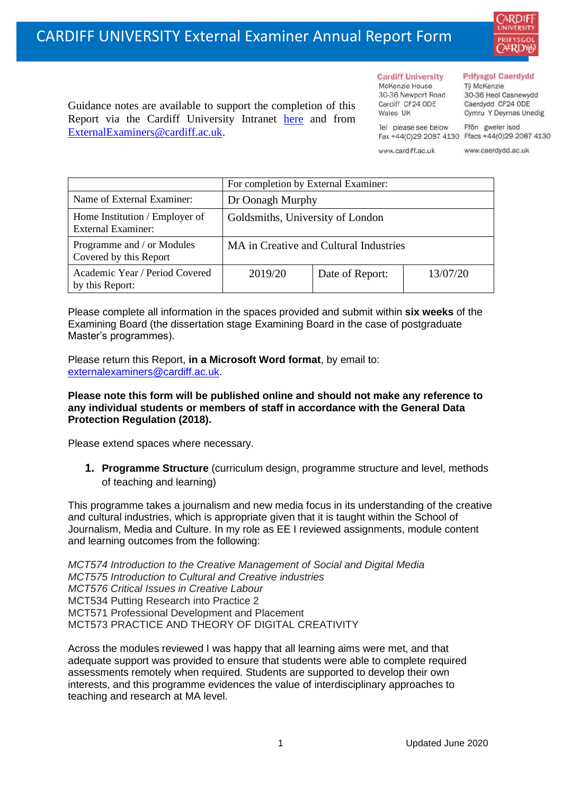

#### **Cardiff University** McKenzie House 30-36 Newport Road

### **Prifysgol Caerdydd**

Từ McKenzie 30-36 Heol Casnewydd Caerdydd CF24 ODE Cymru Y Deyrnas Unedig

Ffôn gweler isod Fax +44(0)29 2087 4130 Ffacs +44(0)29 2087 4130

www.cardiff.ac.uk

Tel please see below

Cardiff CF24 ODE

Wales IIK

www.caerdydd.ac.uk

| Guidance notes are available to support the completion of this |  |  |  |                                                          |  |  |  |  |  |  |
|----------------------------------------------------------------|--|--|--|----------------------------------------------------------|--|--|--|--|--|--|
|                                                                |  |  |  | Report via the Cardiff University Intranet here and from |  |  |  |  |  |  |
| ExternalExaminers@cardiff.ac.uk.                               |  |  |  |                                                          |  |  |  |  |  |  |

|                                                             | For completion by External Examiner:   |                 |          |  |  |
|-------------------------------------------------------------|----------------------------------------|-----------------|----------|--|--|
| Name of External Examiner:                                  | Dr Oonagh Murphy                       |                 |          |  |  |
| Home Institution / Employer of<br><b>External Examiner:</b> | Goldsmiths, University of London       |                 |          |  |  |
| Programme and / or Modules<br>Covered by this Report        | MA in Creative and Cultural Industries |                 |          |  |  |
| Academic Year / Period Covered<br>by this Report:           | 2019/20                                | Date of Report: | 13/07/20 |  |  |

Please complete all information in the spaces provided and submit within **six weeks** of the Examining Board (the dissertation stage Examining Board in the case of postgraduate Master's programmes).

Please return this Report, **in a Microsoft Word format**, by email to: [externalexaminers@cardiff.ac.uk.](mailto:externalexaminers@cardiff.ac.uk)

## **Please note this form will be published online and should not make any reference to any individual students or members of staff in accordance with the General Data Protection Regulation (2018).**

Please extend spaces where necessary.

**1. Programme Structure** (curriculum design, programme structure and level, methods of teaching and learning)

This programme takes a journalism and new media focus in its understanding of the creative and cultural industries, which is appropriate given that it is taught within the School of Journalism, Media and Culture. In my role as EE I reviewed assignments, module content and learning outcomes from the following:

*MCT574 Introduction to the Creative Management of Social and Digital Media MCT575 Introduction to Cultural and Creative industries MCT576 Critical Issues in Creative Labour* MCT534 Putting Research into Practice 2 MCT571 Professional Development and Placement MCT573 PRACTICE AND THEORY OF DIGITAL CREATIVITY

Across the modules reviewed I was happy that all learning aims were met, and that adequate support was provided to ensure that students were able to complete required assessments remotely when required. Students are supported to develop their own interests, and this programme evidences the value of interdisciplinary approaches to teaching and research at MA level.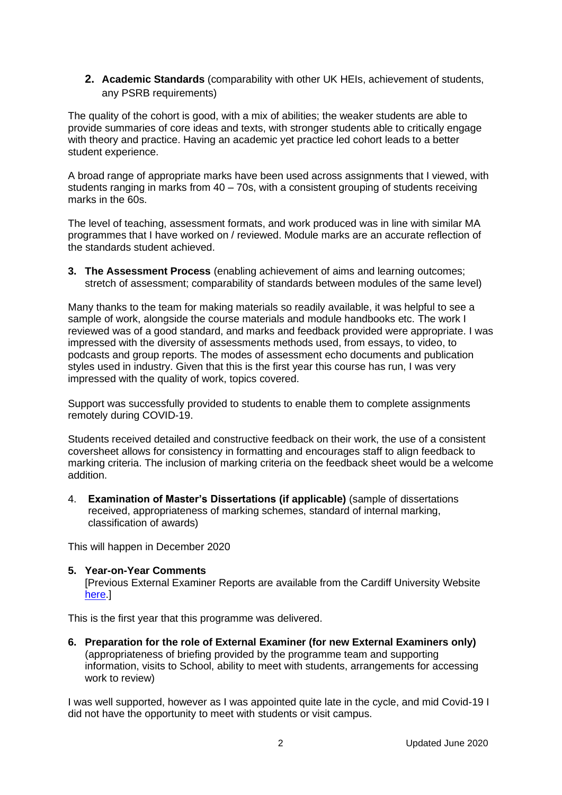**2. Academic Standards** (comparability with other UK HEIs, achievement of students, any PSRB requirements)

The quality of the cohort is good, with a mix of abilities; the weaker students are able to provide summaries of core ideas and texts, with stronger students able to critically engage with theory and practice. Having an academic yet practice led cohort leads to a better student experience.

A broad range of appropriate marks have been used across assignments that I viewed, with students ranging in marks from 40 – 70s, with a consistent grouping of students receiving marks in the 60s.

The level of teaching, assessment formats, and work produced was in line with similar MA programmes that I have worked on / reviewed. Module marks are an accurate reflection of the standards student achieved.

**3. The Assessment Process** (enabling achievement of aims and learning outcomes; stretch of assessment; comparability of standards between modules of the same level)

Many thanks to the team for making materials so readily available, it was helpful to see a sample of work, alongside the course materials and module handbooks etc. The work I reviewed was of a good standard, and marks and feedback provided were appropriate. I was impressed with the diversity of assessments methods used, from essays, to video, to podcasts and group reports. The modes of assessment echo documents and publication styles used in industry. Given that this is the first year this course has run, I was very impressed with the quality of work, topics covered.

Support was successfully provided to students to enable them to complete assignments remotely during COVID-19.

Students received detailed and constructive feedback on their work, the use of a consistent coversheet allows for consistency in formatting and encourages staff to align feedback to marking criteria. The inclusion of marking criteria on the feedback sheet would be a welcome addition.

4. **Examination of Master's Dissertations (if applicable)** (sample of dissertations received, appropriateness of marking schemes, standard of internal marking, classification of awards)

This will happen in December 2020

# **5. Year-on-Year Comments**

[Previous External Examiner Reports are available from the Cardiff University Website here  $\vert$ 

This is the first year that this programme was delivered.

**6. Preparation for the role of External Examiner (for new External Examiners only)** (appropriateness of briefing provided by the programme team and supporting information, visits to School, ability to meet with students, arrangements for accessing work to review)

I was well supported, however as I was appointed quite late in the cycle, and mid Covid-19 I did not have the opportunity to meet with students or visit campus.